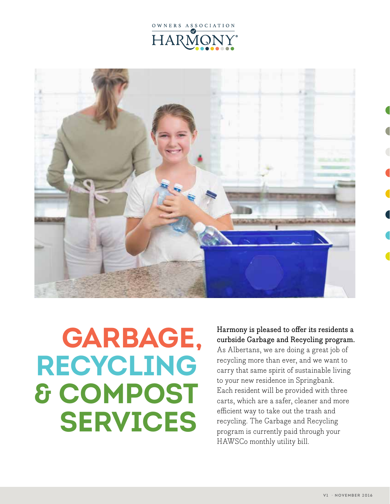



# **GARBAGE, RECYCLING & COMPOST SERVICES**

## Harmony is pleased to offer its residents a curbside Garbage and Recycling program.

As Albertans, we are doing a great job of recycling more than ever, and we want to carry that same spirit of sustainable living to your new residence in Springbank. Each resident will be provided with three carts, which are a safer, cleaner and more efficient way to take out the trash and recycling. The Garbage and Recycling program is currently paid through your HAWSCo monthly utility bill.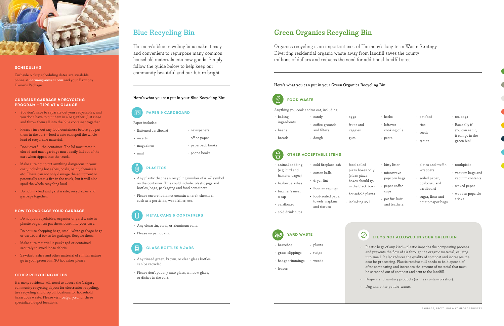#### Here's what you can put in your Green Organics Recycling Bin:



### **FOOD WASTE**

Anything you cook and/or eat, including:



#### **SCHEDULING**

Curbside pickup scheduling dates are available online at *harmonyowners.com* and your Harmony Owner's Package.

#### **CURBSIDE GARBAGE & RECYCLING PROGRAM — TIPS AT A GLANCE**

- You don't have to separate out your recyclables, and you don't have to put them in a bag either. Just rinse and throw them all into the blue container together.
- Please rinse out any food containers before you put them in the cart—food waste can spoil the whole load of recyclable material.
- Don't overfill the container. The lid must remain closed and must garbage must easily fall out of the cart when tipped into the truck.
- Make sure not to put anything dangerous in your cart, including hot ashes, coals, paint, chemicals, etc. These can not only damage the equipment or potentially start a fire in the truck, but it will also spoil the whole recycling load.
- Do not mix leaf and yard waste, recyclables and garbage together.

#### **HOW TO PACKAGE YOUR GARBAGE**

- Do not put recyclables, organics or yard waste in plastic bags. Just put them loose, into your cart.
- Do not use shopping bags, small white garbage bags or cardboard boxes for garbage. Recycle them.
- Make sure material is packaged or contained securely to avoid loose debris.
- Sawdust, ashes and other material of similar nature go in your green bin. NO hot ashes please.

#### **OTHER RECYCLING NEEDS**

Harmony residents will need to access the Calgary community recycling depots for electronics recycling, tire recycling and drop off locations for household hazardous waste. Please visit *calgary.ca* for these specialized depot locations.

#### **ITEMS NOT ALLOWED IN YOUR GREEN BIN**

- cold fireplace ash • cotton balls • food-soiled
	- pizza boxes only (clean pizza boxes should go in the black box)
	- household plants
- food-soiled paper towels, napkins and tissues • including soil
	- $\varnothing$
	- -
		-
	-

• Plastic bags of any kind—plastic impedes the composting process and prevents the flow of air through the organic material, causing it to smell. It also reduces the quality of compost and increases the cost for processing. Plastic residue still needs to be disposed of after composting and increases the amount of material that must be screened out of compost and sent to the landfill.

- Diapers and sanitary products (as they contain plastics).
- Dog and other pet bio-waste.

| • baking    | • candy                | · eggs       |
|-------------|------------------------|--------------|
| ingredients | $\cdot$ coffee grounds | • fruits and |
| • beans     | and filters            | veggies      |
| • breads    | $\cdot$ dough          | • gum        |

- animal bedding (e.g. bird and hamster cages)
- barbecue ashes
- butcher's meat
- wrap
- 
- cold drink cups
- - - - cardboard

## **OTHER ACCEPTABLE ITEMS**

# **YARD WASTE**

- branches
- grass clippings • twigs
- hedge trimmings • weeds
- leaves

# **Green Organics Recycling Bin**

Organics recycling is an important part of Harmony's long term Waste Strategy. Diverting residential organic waste away from landfill saves the county millions of dollars and reduces the need for additional landfill sites.

# **Blue Recycling Bin**

Harmony's blue recycling bins make it easy and convenient to repurpose many common household materials into new goods. Simply follow the guide below to help keep our community beautiful and our future bright.

#### Here's what you can put in your Blue Recycling Bin:

#### **PAPER & CARDBOARD**

Paper includes:

- flattened cardboard
- inserts
- magazines
- mail

# **PLASTICS**

- Any plastic that has a recycling number of #1–7 symbol on the container. This could include: plastic jugs and bottles, bags, packaging and food containers.
- Please ensure it did not contain a harsh chemical, such as a pesticide, weed killer, etc.



#### **METAL CANS & CONTAINERS**

- Any clean tin, steel, or aluminum cans.
- Please no paint cans.

# **GLASS BOTTLES & JARS**

- Any rinsed green, brown, or clear glass bottles can be recycled.
- Please don't put any auto glass, window glass, or dishes in the cart.
- herbs
- leftover cooking oils
- pasta
- pet food
- rice
- seeds
- spices
- tea bags
- Basically if you can eat it, it can go in the green bin!

• dryer lint

• floor sweepings

- kitty litter
- microwave popcorn bags
- paper coffee cups
- pet fur, hair and feathers
- plates and muffin wrappers
- soiled paper, boxboard and cardboard
- sugar, flour and potato paper bags
- toothpicks
- vacuum bags and vacuum contents
- waxed paper
- wooden popsicle sticks

• newspapers • office paper

• paperback books



• phone books

• plants